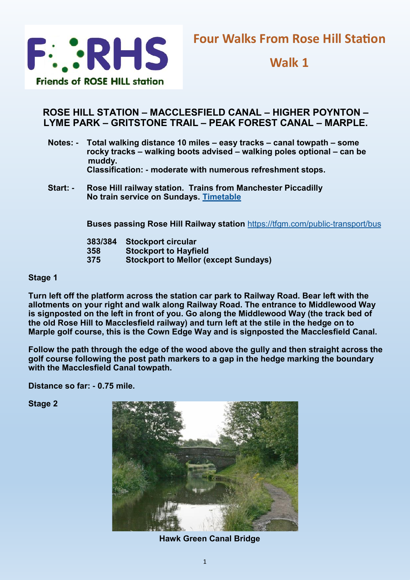

**Walk 1**

## **ROSE HILL STATION – MACCLESFIELD CANAL – HIGHER POYNTON – LYME PARK – GRITSTONE TRAIL – PEAK FOREST CANAL – MARPLE.**

- **Notes: - Total walking distance 10 miles – easy tracks – canal towpath – some rocky tracks – walking boots advised – walking poles optional – can be muddy. Classification: - moderate with numerous refreshment stops.**
- **Start: - Rose Hill railway station. Trains from Manchester Piccadilly No train service on Sundays. [Timetable](https://tfgm.com/public-transport/train/stations/rose-hill-marple-rail)**

**Buses passing Rose Hill Railway station** <https://tfgm.com/public-transport/bus>

| 383/384 | <b>Stockport circular</b>                   |
|---------|---------------------------------------------|
| 358     | <b>Stockport to Hayfield</b>                |
| 375     | <b>Stockport to Mellor (except Sundays)</b> |

### **Stage 1**

**Turn left off the platform across the station car park to Railway Road. Bear left with the allotments on your right and walk along Railway Road. The entrance to Middlewood Way is signposted on the left in front of you. Go along the Middlewood Way (the track bed of the old Rose Hill to Macclesfield railway) and turn left at the stile in the hedge on to Marple golf course, this is the Cown Edge Way and is signposted the Macclesfield Canal.**

**Follow the path through the edge of the wood above the gully and then straight across the golf course following the post path markers to a gap in the hedge marking the boundary with the Macclesfield Canal towpath.**

**Distance so far: - 0.75 mile.**

**Stage 2** 



**Hawk Green Canal Bridge**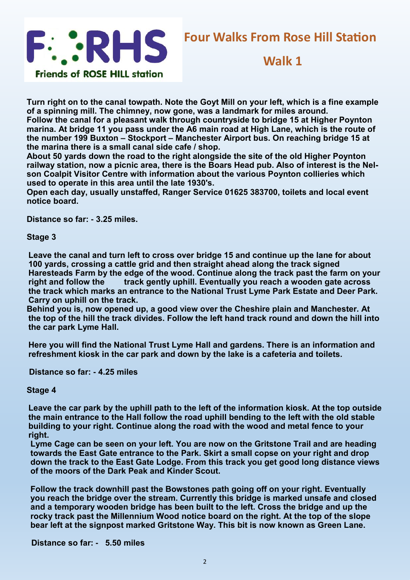

# **Four Walks From Rose Hill Station**

## **Walk 1**

**Turn right on to the canal towpath. Note the Goyt Mill on your left, which is a fine example of a spinning mill. The chimney, now gone, was a landmark for miles around.**

**Follow the canal for a pleasant walk through countryside to bridge 15 at Higher Poynton marina. At bridge 11 you pass under the A6 main road at High Lane, which is the route of the number 199 Buxton – Stockport – Manchester Airport bus. On reaching bridge 15 at the marina there is a small canal side cafe / shop.** 

**About 50 yards down the road to the right alongside the site of the old Higher Poynton railway station, now a picnic area, there is the Boars Head pub. Also of interest is the Nelson Coalpit Visitor Centre with information about the various Poynton collieries which used to operate in this area until the late 1930's.**

**Open each day, usually unstaffed, Ranger Service 01625 383700, toilets and local event notice board.**

**Distance so far: - 3.25 miles.**

**Stage 3**

**Leave the canal and turn left to cross over bridge 15 and continue up the lane for about 100 yards, crossing a cattle grid and then straight ahead along the track signed Haresteads Farm by the edge of the wood. Continue along the track past the farm on your right and follow the track gently uphill. Eventually you reach a wooden gate across the track which marks an entrance to the National Trust Lyme Park Estate and Deer Park. Carry on uphill on the track.**

**Behind you is, now opened up, a good view over the Cheshire plain and Manchester. At the top of the hill the track divides. Follow the left hand track round and down the hill into the car park Lyme Hall.**

**Here you will find the National Trust Lyme Hall and gardens. There is an information and refreshment kiosk in the car park and down by the lake is a cafeteria and toilets.**

**Distance so far: - 4.25 miles**

**Stage 4**

**Leave the car park by the uphill path to the left of the information kiosk. At the top outside the main entrance to the Hall follow the road uphill bending to the left with the old stable building to your right. Continue along the road with the wood and metal fence to your right.**

**Lyme Cage can be seen on your left. You are now on the Gritstone Trail and are heading towards the East Gate entrance to the Park. Skirt a small copse on your right and drop down the track to the East Gate Lodge. From this track you get good long distance views of the moors of the Dark Peak and Kinder Scout.**

**Follow the track downhill past the Bowstones path going off on your right. Eventually you reach the bridge over the stream. Currently this bridge is marked unsafe and closed and a temporary wooden bridge has been built to the left. Cross the bridge and up the rocky track past the Millennium Wood notice board on the right. At the top of the slope bear left at the signpost marked Gritstone Way. This bit is now known as Green Lane.**

 **Distance so far: - 5.50 miles**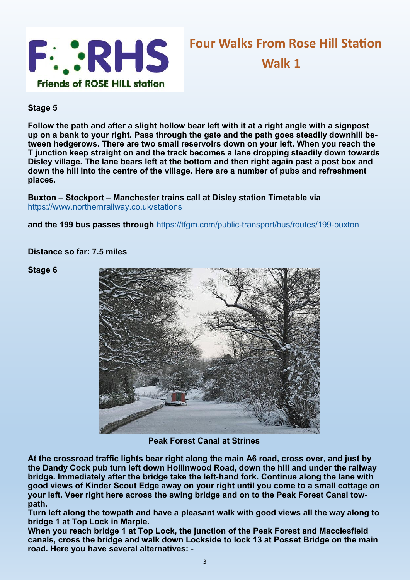

**Stage 5**

**Follow the path and after a slight hollow bear left with it at a right angle with a signpost up on a bank to your right. Pass through the gate and the path goes steadily downhill between hedgerows. There are two small reservoirs down on your left. When you reach the T junction keep straight on and the track becomes a lane dropping steadily down towards Disley village. The lane bears left at the bottom and then right again past a post box and down the hill into the centre of the village. Here are a number of pubs and refreshment places.**

**Buxton – Stockport – Manchester trains call at Disley station Timetable via**  <https://www.northernrailway.co.uk/stations>

and the 199 bus passes through <https://tfgm.com/public-transport/bus/routes/199-buxton>

**Distance so far: 7.5 miles**

**Stage 6**



**Peak Forest Canal at Strines**

**At the crossroad traffic lights bear right along the main A6 road, cross over, and just by the Dandy Cock pub turn left down Hollinwood Road, down the hill and under the railway bridge. Immediately after the bridge take the left-hand fork. Continue along the lane with good views of Kinder Scout Edge away on your right until you come to a small cottage on your left. Veer right here across the swing bridge and on to the Peak Forest Canal towpath.**

**Turn left along the towpath and have a pleasant walk with good views all the way along to bridge 1 at Top Lock in Marple.**

**When you reach bridge 1 at Top Lock, the junction of the Peak Forest and Macclesfield canals, cross the bridge and walk down Lockside to lock 13 at Posset Bridge on the main road. Here you have several alternatives: -**